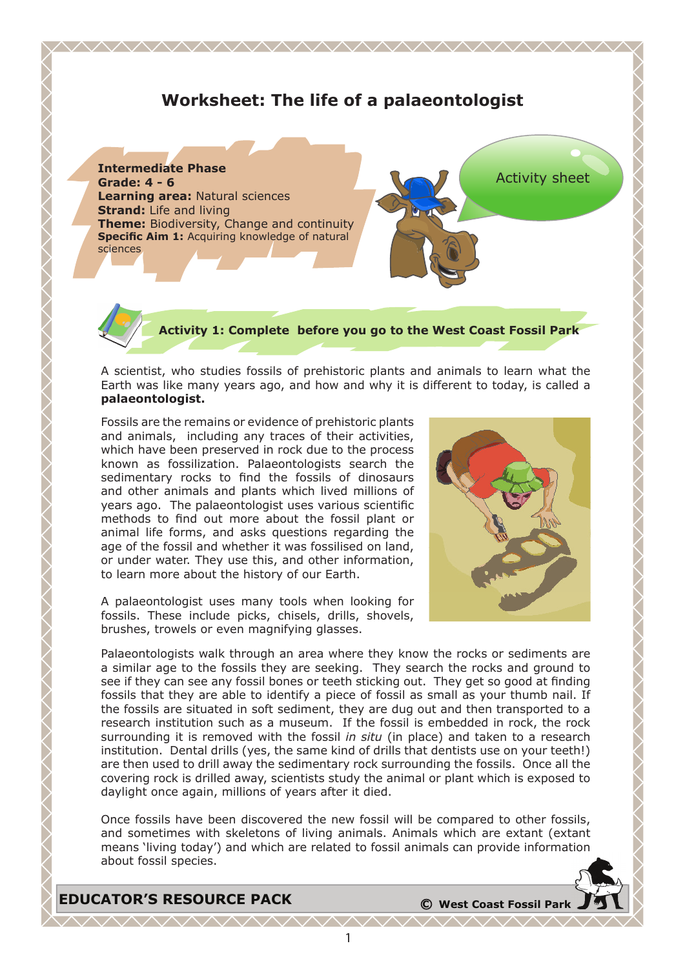# **Worksheet: The life of a palaeontologist**

<u> WWW.WWW.WWW.WWW.WWW</u>



**Activity 1: Complete before you go to the West Coast Fossil Park**

A scientist, who studies fossils of prehistoric plants and animals to learn what the Earth was like many years ago, and how and why it is different to today, is called a **palaeontologist.** 

Fossils are the remains or evidence of prehistoric plants and animals, including any traces of their activities, which have been preserved in rock due to the process known as fossilization. Palaeontologists search the sedimentary rocks to find the fossils of dinosaurs and other animals and plants which lived millions of years ago. The palaeontologist uses various scientific methods to find out more about the fossil plant or animal life forms, and asks questions regarding the age of the fossil and whether it was fossilised on land, or under water. They use this, and other information, to learn more about the history of our Earth.

A palaeontologist uses many tools when looking for fossils. These include picks, chisels, drills, shovels, brushes, trowels or even magnifying glasses.



Palaeontologists walk through an area where they know the rocks or sediments are a similar age to the fossils they are seeking. They search the rocks and ground to see if they can see any fossil bones or teeth sticking out. They get so good at finding fossils that they are able to identify a piece of fossil as small as your thumb nail. If the fossils are situated in soft sediment, they are dug out and then transported to a research institution such as a museum. If the fossil is embedded in rock, the rock surrounding it is removed with the fossil *in situ* (in place) and taken to a research institution. Dental drills (yes, the same kind of drills that dentists use on your teeth!) are then used to drill away the sedimentary rock surrounding the fossils. Once all the covering rock is drilled away, scientists study the animal or plant which is exposed to daylight once again, millions of years after it died.

Once fossils have been discovered the new fossil will be compared to other fossils, and sometimes with skeletons of living animals. Animals which are extant (extant means 'living today') and which are related to fossil animals can provide information about fossil species.

**EDUCATOR'S RESOURCE PACK <sup>C</sup> West Coast Fossil Park**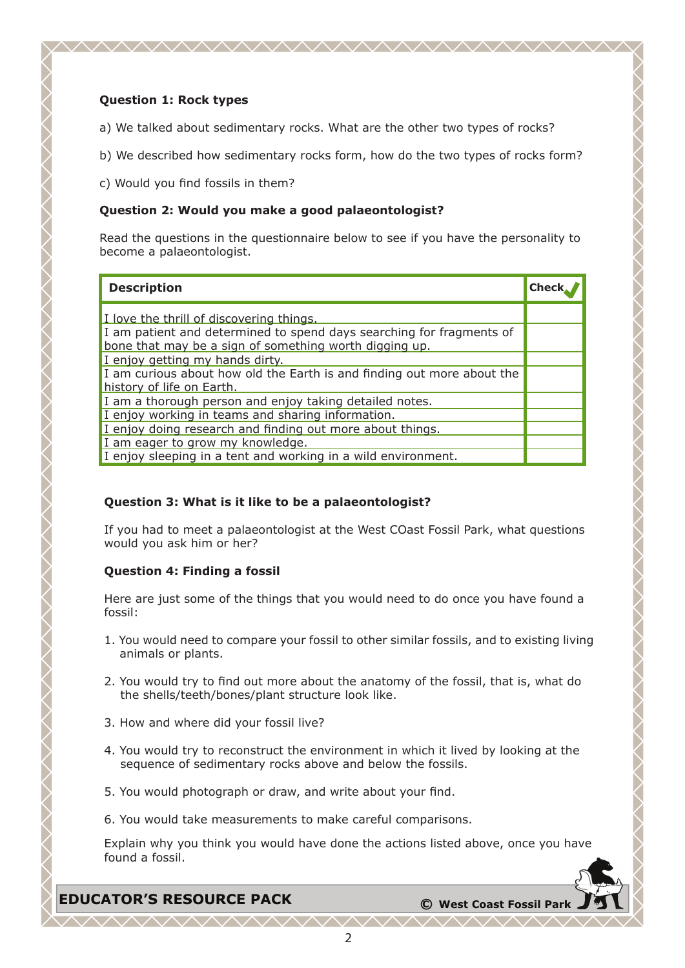## **Question 1: Rock types**

a) We talked about sedimentary rocks. What are the other two types of rocks?

<u>WWW.WWW.WWW.WWW.WWW</u>

- b) We described how sedimentary rocks form, how do the two types of rocks form?
- c) Would you find fossils in them?

## **Question 2: Would you make a good palaeontologist?**

Read the questions in the questionnaire below to see if you have the personality to become a palaeontologist.

| <b>Description</b>                                                                                                             | <b>Check</b> |
|--------------------------------------------------------------------------------------------------------------------------------|--------------|
| I love the thrill of discovering things.                                                                                       |              |
| I am patient and determined to spend days searching for fragments of<br>bone that may be a sign of something worth digging up. |              |
| I enjoy getting my hands dirty.                                                                                                |              |
| I am curious about how old the Earth is and finding out more about the<br>history of life on Earth.                            |              |
| I am a thorough person and enjoy taking detailed notes.                                                                        |              |
| I enjoy working in teams and sharing information.                                                                              |              |
| I enjoy doing research and finding out more about things.                                                                      |              |
| I am eager to grow my knowledge.                                                                                               |              |
| I enjoy sleeping in a tent and working in a wild environment.                                                                  |              |

## **Question 3: What is it like to be a palaeontologist?**

If you had to meet a palaeontologist at the West COast Fossil Park, what questions would you ask him or her?

## **Question 4: Finding a fossil**

Here are just some of the things that you would need to do once you have found a fossil:

- 1. You would need to compare your fossil to other similar fossils, and to existing living animals or plants.
- 2. You would try to find out more about the anatomy of the fossil, that is, what do the shells/teeth/bones/plant structure look like.
- 3. How and where did your fossil live?
- 4. You would try to reconstruct the environment in which it lived by looking at the sequence of sedimentary rocks above and below the fossils.
- 5. You would photograph or draw, and write about your find.
- 6. You would take measurements to make careful comparisons.

Explain why you think you would have done the actions listed above, once you have found a fossil.

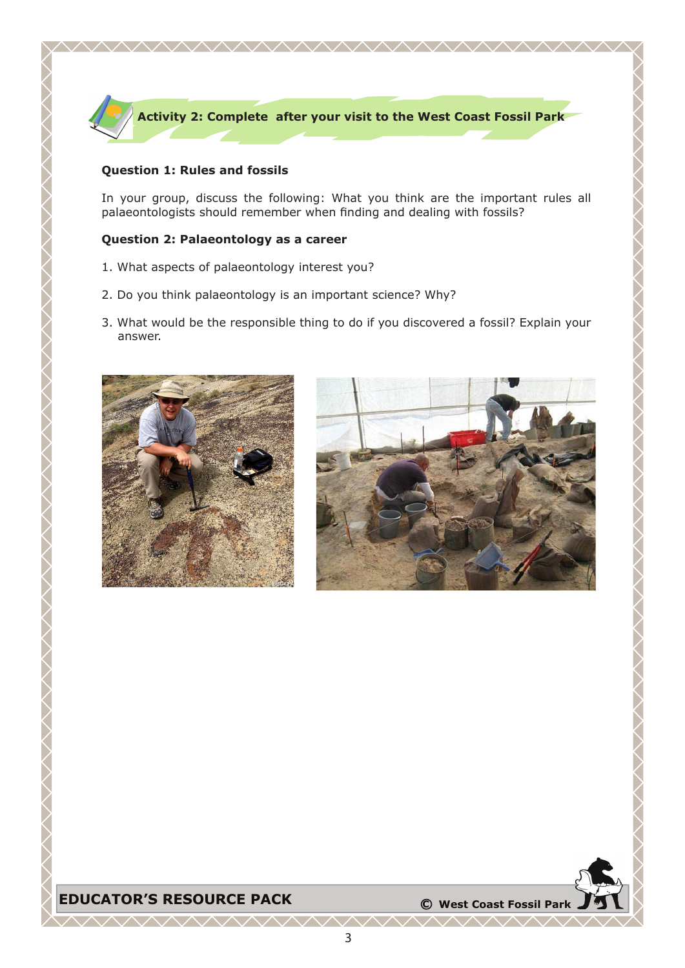

## **Question 1: Rules and fossils**

In your group, discuss the following: What you think are the important rules all palaeontologists should remember when finding and dealing with fossils?

#### **Question 2: Palaeontology as a career**

- 1. What aspects of palaeontology interest you?
- 2. Do you think palaeontology is an important science? Why?
- 3. What would be the responsible thing to do if you discovered a fossil? Explain your answer.





## **EDUCATOR'S RESOURCE PACK**  $\bullet$  **C** West Coast Fossil Park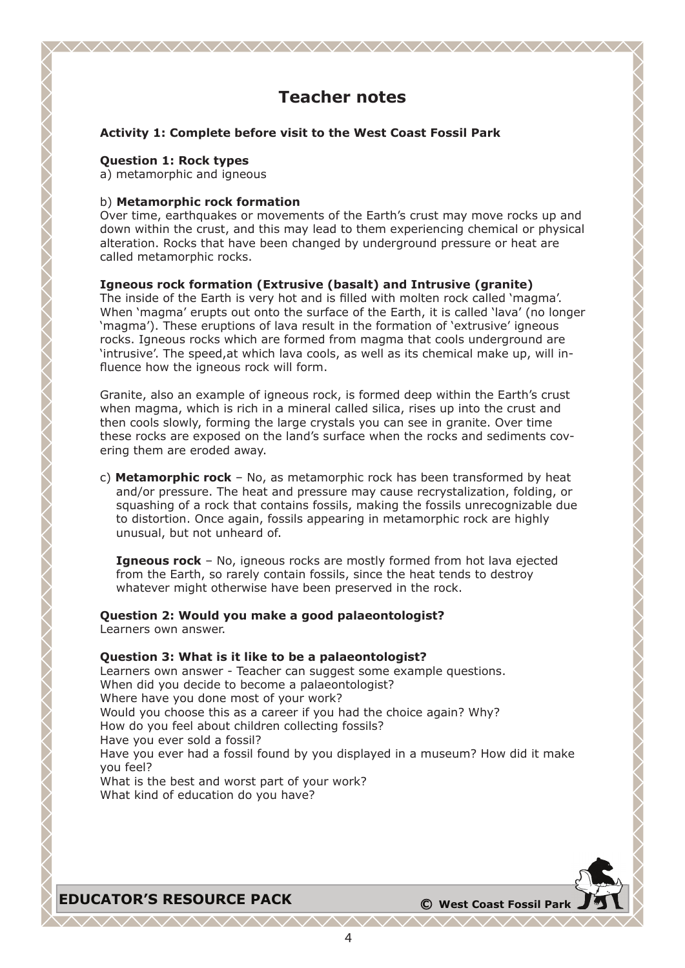# **Teacher notes**

#### **Activity 1: Complete before visit to the West Coast Fossil Park**

#### **Question 1: Rock types**

a) metamorphic and igneous

#### b) **Metamorphic rock formation**

Over time, earthquakes or movements of the Earth's crust may move rocks up and down within the crust, and this may lead to them experiencing chemical or physical alteration. Rocks that have been changed by underground pressure or heat are called metamorphic rocks.

## **Igneous rock formation (Extrusive (basalt) and Intrusive (granite)**

The inside of the Earth is very hot and is filled with molten rock called 'magma'. When 'magma' erupts out onto the surface of the Earth, it is called 'lava' (no longer 'magma'). These eruptions of lava result in the formation of 'extrusive' igneous rocks. Igneous rocks which are formed from magma that cools underground are 'intrusive'. The speed,at which lava cools, as well as its chemical make up, will influence how the igneous rock will form.

Granite, also an example of igneous rock, is formed deep within the Earth's crust when magma, which is rich in a mineral called silica, rises up into the crust and then cools slowly, forming the large crystals you can see in granite. Over time these rocks are exposed on the land's surface when the rocks and sediments covering them are eroded away.

c) **Metamorphic rock** – No, as metamorphic rock has been transformed by heat and/or pressure. The heat and pressure may cause recrystalization, folding, or squashing of a rock that contains fossils, making the fossils unrecognizable due to distortion. Once again, fossils appearing in metamorphic rock are highly unusual, but not unheard of.

 **Igneous rock** – No, igneous rocks are mostly formed from hot lava ejected from the Earth, so rarely contain fossils, since the heat tends to destroy whatever might otherwise have been preserved in the rock.

## **Question 2: Would you make a good palaeontologist?**

Learners own answer.

### **Question 3: What is it like to be a palaeontologist?**

Learners own answer - Teacher can suggest some example questions. When did you decide to become a palaeontologist? Where have you done most of your work? Would you choose this as a career if you had the choice again? Why? How do you feel about children collecting fossils? Have you ever sold a fossil? Have you ever had a fossil found by you displayed in a museum? How did it make you feel? What is the best and worst part of your work? What kind of education do you have?

**EDUCATOR'S RESOURCE PACK**  $\bullet$  **C** West Coast Fossil Park

. ^ ^ ^ ^ ^ ^ ^ ^ /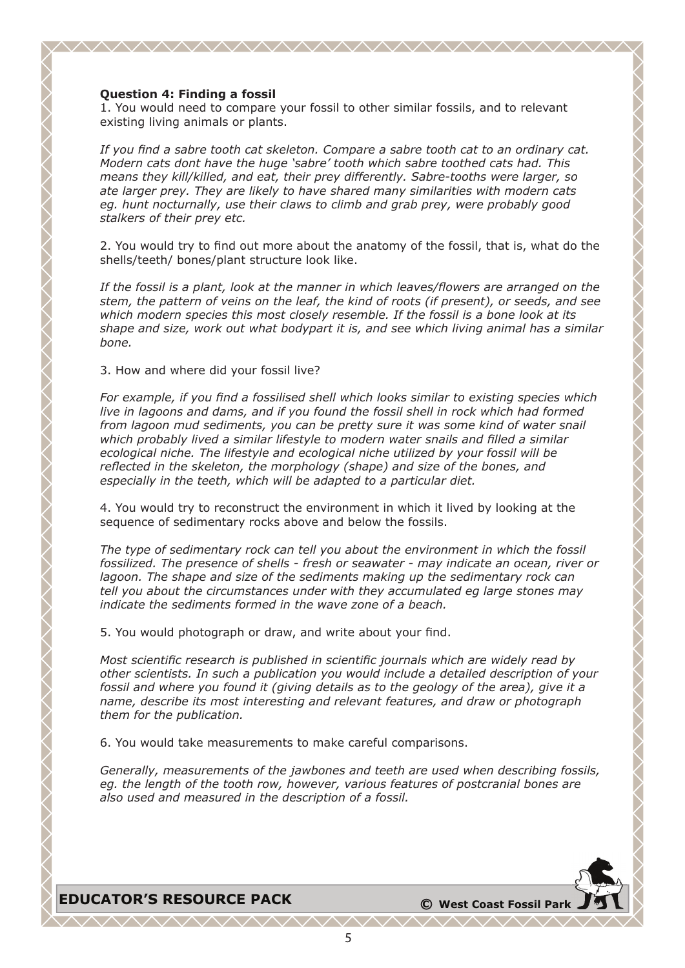#### **Question 4: Finding a fossil**

1. You would need to compare your fossil to other similar fossils, and to relevant existing living animals or plants.

<u>AAAAAAAAAAAAAAAAAAAAAAAAA</u>

*If you find a sabre tooth cat skeleton. Compare a sabre tooth cat to an ordinary cat. Modern cats dont have the huge 'sabre' tooth which sabre toothed cats had. This means they kill/killed, and eat, their prey differently. Sabre-tooths were larger, so ate larger prey. They are likely to have shared many similarities with modern cats eg. hunt nocturnally, use their claws to climb and grab prey, were probably good stalkers of their prey etc.*

2. You would try to find out more about the anatomy of the fossil, that is, what do the shells/teeth/ bones/plant structure look like.

*If the fossil is a plant, look at the manner in which leaves/flowers are arranged on the stem, the pattern of veins on the leaf, the kind of roots (if present), or seeds, and see which modern species this most closely resemble. If the fossil is a bone look at its shape and size, work out what bodypart it is, and see which living animal has a similar bone.*

3. How and where did your fossil live?

*For example, if you find a fossilised shell which looks similar to existing species which live in lagoons and dams, and if you found the fossil shell in rock which had formed from lagoon mud sediments, you can be pretty sure it was some kind of water snail which probably lived a similar lifestyle to modern water snails and filled a similar ecological niche. The lifestyle and ecological niche utilized by your fossil will be reflected in the skeleton, the morphology (shape) and size of the bones, and especially in the teeth, which will be adapted to a particular diet.*

4. You would try to reconstruct the environment in which it lived by looking at the sequence of sedimentary rocks above and below the fossils.

*The type of sedimentary rock can tell you about the environment in which the fossil fossilized. The presence of shells - fresh or seawater - may indicate an ocean, river or lagoon. The shape and size of the sediments making up the sedimentary rock can tell you about the circumstances under with they accumulated eg large stones may indicate the sediments formed in the wave zone of a beach.*

5. You would photograph or draw, and write about your find.

*Most scientific research is published in scientific journals which are widely read by other scientists. In such a publication you would include a detailed description of your fossil and where you found it (giving details as to the geology of the area), give it a name, describe its most interesting and relevant features, and draw or photograph them for the publication.*

6. You would take measurements to make careful comparisons.

*Generally, measurements of the jawbones and teeth are used when describing fossils, eg. the length of the tooth row, however, various features of postcranial bones are also used and measured in the description of a fossil.*